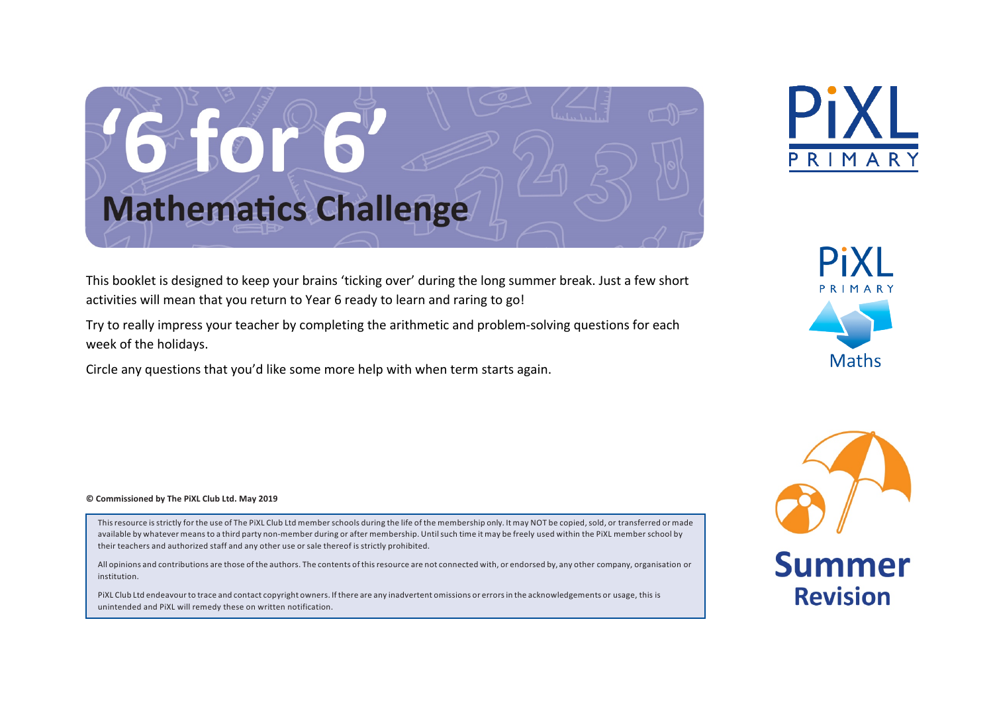# G-FOLSO **Mathematics Challenge**

This booklet is designed to keep your brains 'ticking over' during the long summer break. Just a few short activities will mean that you return to Year 6 ready to learn and raring to go!

Try to really impress your teacher by completing the arithmetic and problem-solving questions for each week of the holidays.

Circle any questions that you'd like some more help with when term starts again.





**© Commissioned by The PiXL Club Ltd. May 2019**

This resource is strictly for the use of The PiXL Club Ltd member schools during the life of the membership only. It may NOT be copied, sold, or transferred or made available by whatever meansto a third party non-member during or after membership. Untilsuch time it may be freely used within the PiXL member school by their teachers and authorized staff and any other use or sale thereof is strictly prohibited.

All opinions and contributions are those of the authors. The contents of thisresource are not connected with, or endorsed by, any other company, organisation or institution.

PiXL Club Ltd endeavourto trace and contact copyright owners. Ifthere are any inadvertent omissions or errorsin the acknowledgements or usage, this is unintended and PiXL will remedy these on written notification.



**Summer** 

**Revision**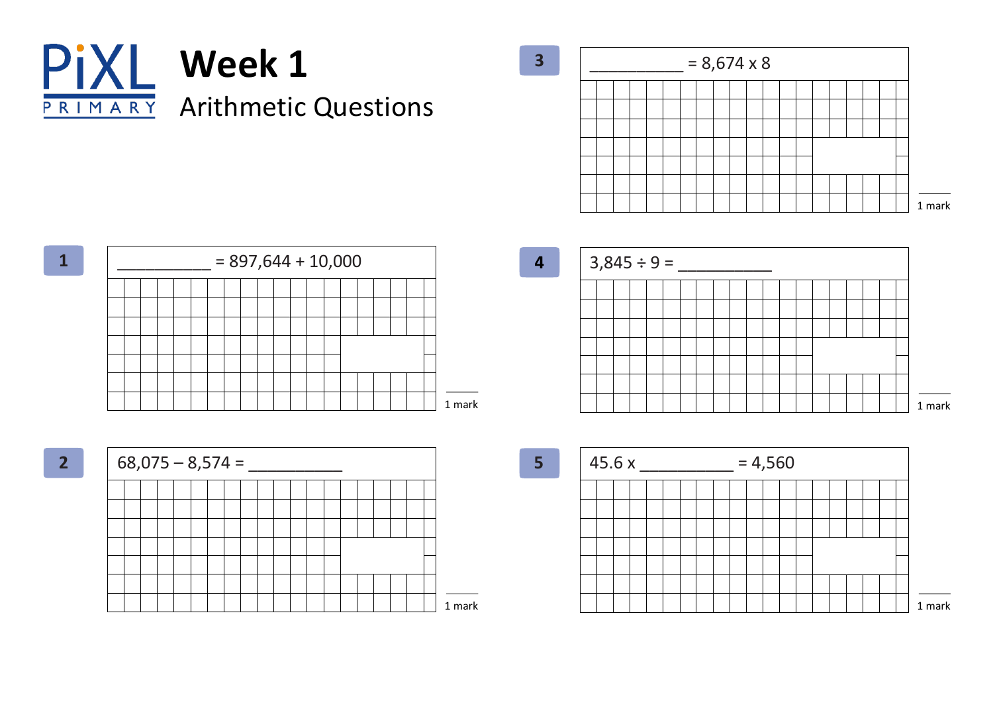

 $= 8,674 \times 8$ **3** 1 mark







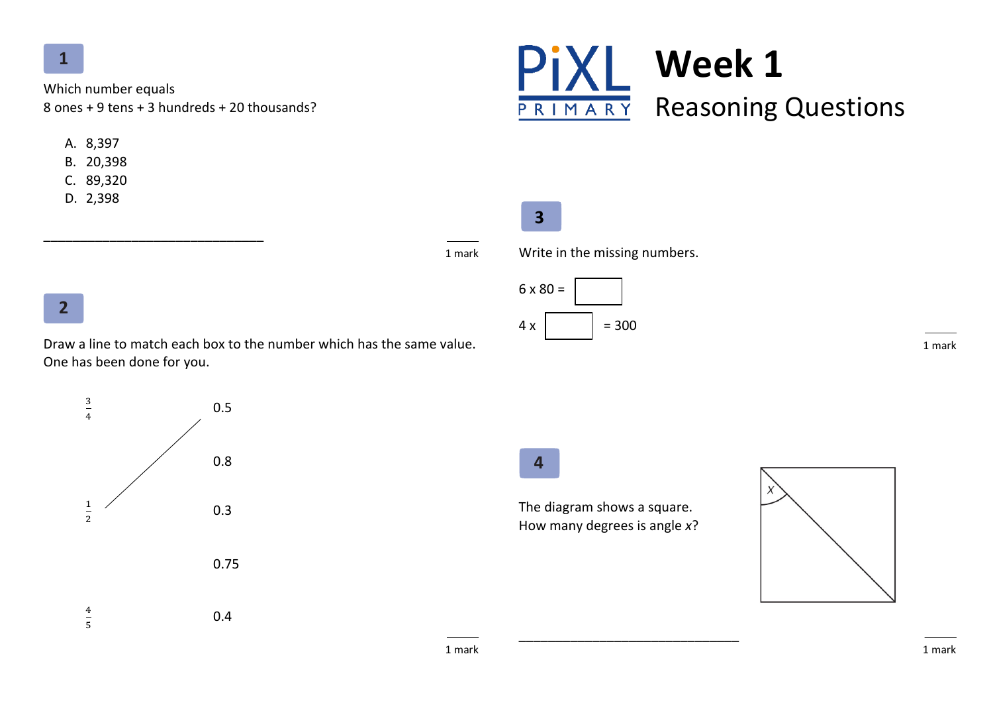Which number equals 8 ones + 9 tens + 3 hundreds + 20 thousands?

\_\_\_\_\_\_\_\_\_\_\_\_\_\_\_\_\_\_\_\_\_\_\_\_\_\_\_\_\_\_

- A. 8,397
- B. 20,398
- C. 89,320
- D. 2,398



## **3**

1 mark

Write in the missing numbers.



1 mark

# **2**

Draw a line to match each box to the number which has the same value. One has been done for you.



**4**

The diagram shows a square. How many degrees is angle *x*?

\_\_\_\_\_\_\_\_\_\_\_\_\_\_\_\_\_\_\_\_\_\_\_\_\_\_\_\_\_\_

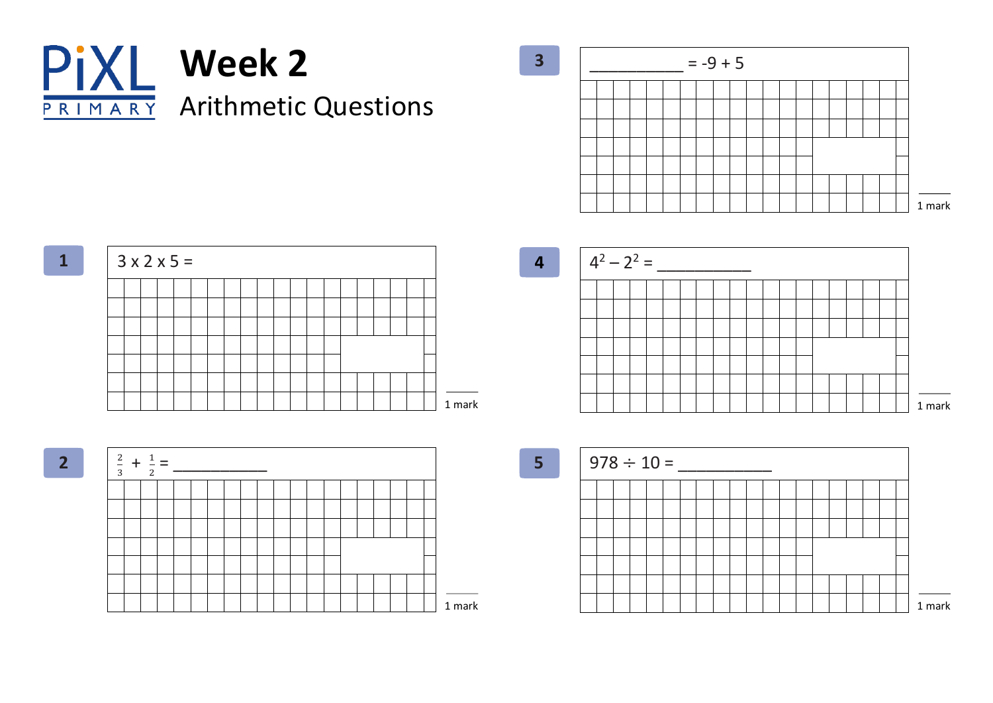

 $= -9 + 5$ **3** 1 mark

 $3 \times 2 \times 5 =$ **1** 1 mark







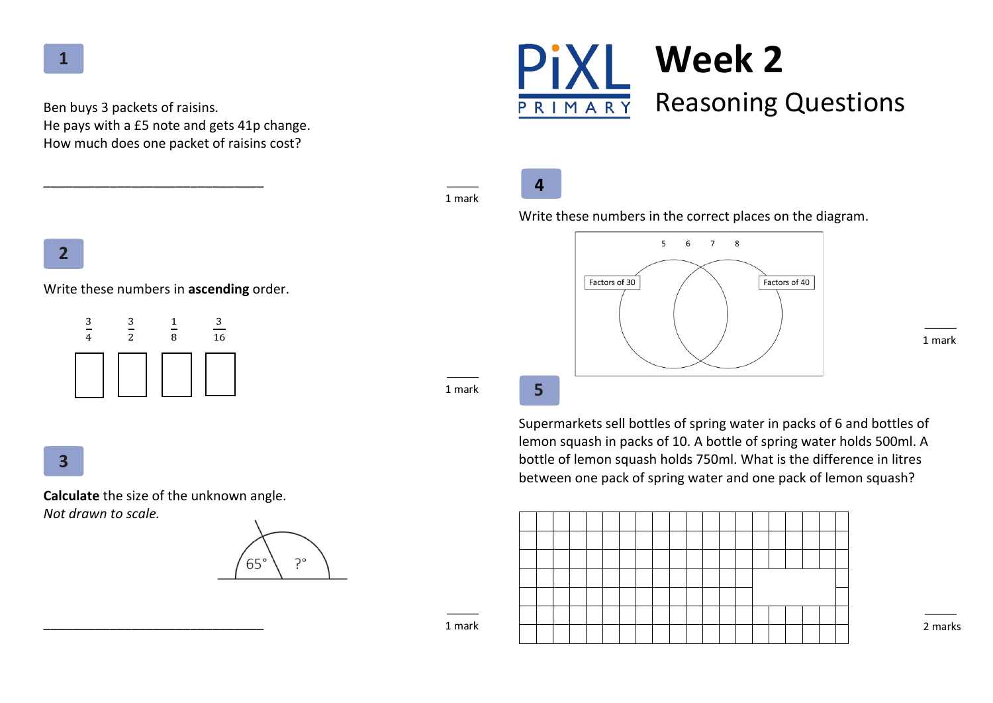Ben buys 3 packets of raisins. He pays with a £5 note and gets 41p change. How much does one packet of raisins cost?

\_\_\_\_\_\_\_\_\_\_\_\_\_\_\_\_\_\_\_\_\_\_\_\_\_\_\_\_\_\_



| 4 | 8 | 16 |
|---|---|----|
|   |   |    |
|   |   |    |
|   |   |    |

**3**

!

**2**

**Calculate** the size of the unknown angle. *Not drawn to scale.*

\_\_\_\_\_\_\_\_\_\_\_\_\_\_\_\_\_\_\_\_\_\_\_\_\_\_\_\_\_\_





**4**

#### Write these numbers in the correct places on the diagram.



1 mark

**5**

1 mark

1 mark

1 mark

Supermarkets sell bottles of spring water in packs of 6 and bottles of lemon squash in packs of 10. A bottle of spring water holds 500ml. A bottle of lemon squash holds 750ml. What is the difference in litres between one pack of spring water and one pack of lemon squash?



2 marks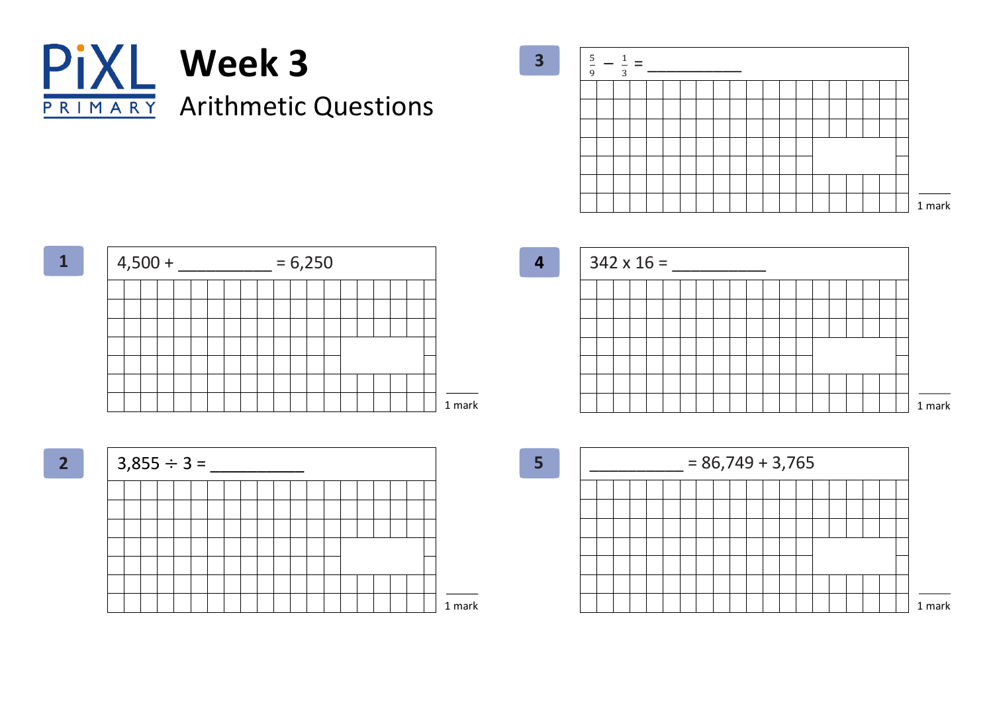









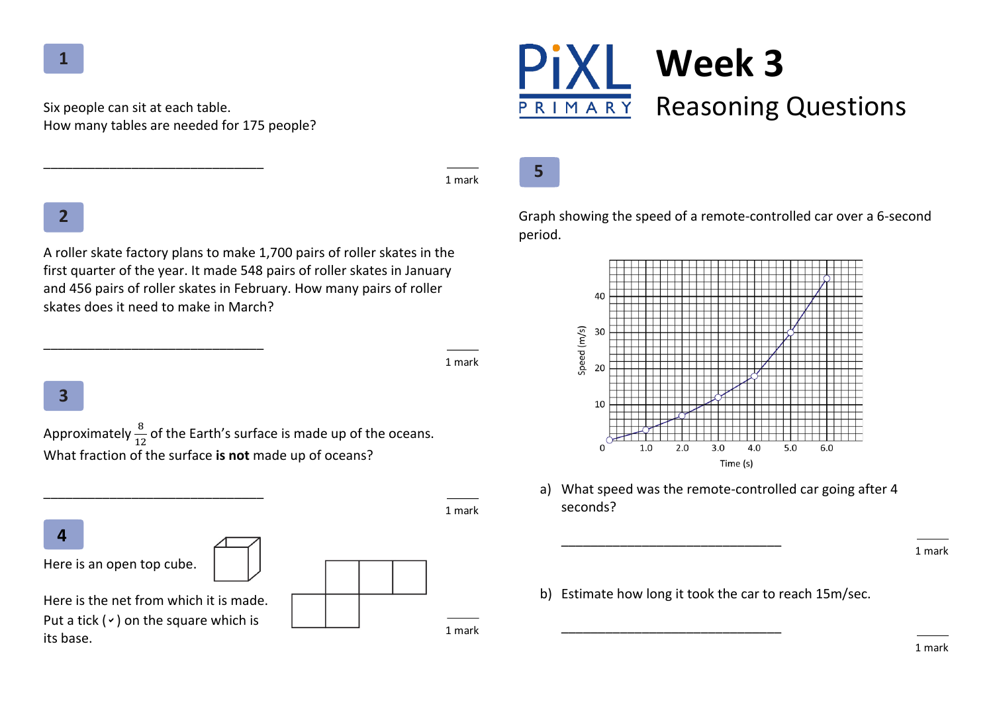Six people can sit at each table. How many tables are needed for 175 people?

\_\_\_\_\_\_\_\_\_\_\_\_\_\_\_\_\_\_\_\_\_\_\_\_\_\_\_\_\_\_

\_\_\_\_\_\_\_\_\_\_\_\_\_\_\_\_\_\_\_\_\_\_\_\_\_\_\_\_\_\_



1 mark

**5**

## **2**

A roller skate factory plans to make 1,700 pairs of roller skates in the first quarter of the year. It made 548 pairs of roller skates in January and 456 pairs of roller skates in February. How many pairs of roller skates does it need to make in March?

1 mark

1 mark

## **3**

Approximately  $\frac{8}{12}$  of the Earth's surface is made up of the oceans. What fraction of the surface **is not** made up of oceans?

**4**

Here is an open top cube.

Here is the net from which it is made Put a tick ( $\rightarrow$ ) on the square which is its base.

\_\_\_\_\_\_\_\_\_\_\_\_\_\_\_\_\_\_\_\_\_\_\_\_\_\_\_\_\_\_

| ₿. |  |  | 1 mark |
|----|--|--|--------|
|    |  |  |        |

Graph showing the speed of a remote-controlled car over a 6-second period.



a) What speed was the remote-controlled car going after 4 seconds?

b) Estimate how long it took the car to reach 15m/sec.

\_\_\_\_\_\_\_\_\_\_\_\_\_\_\_\_\_\_\_\_\_\_\_\_\_\_\_\_\_\_

\_\_\_\_\_\_\_\_\_\_\_\_\_\_\_\_\_\_\_\_\_\_\_\_\_\_\_\_\_\_

1 mark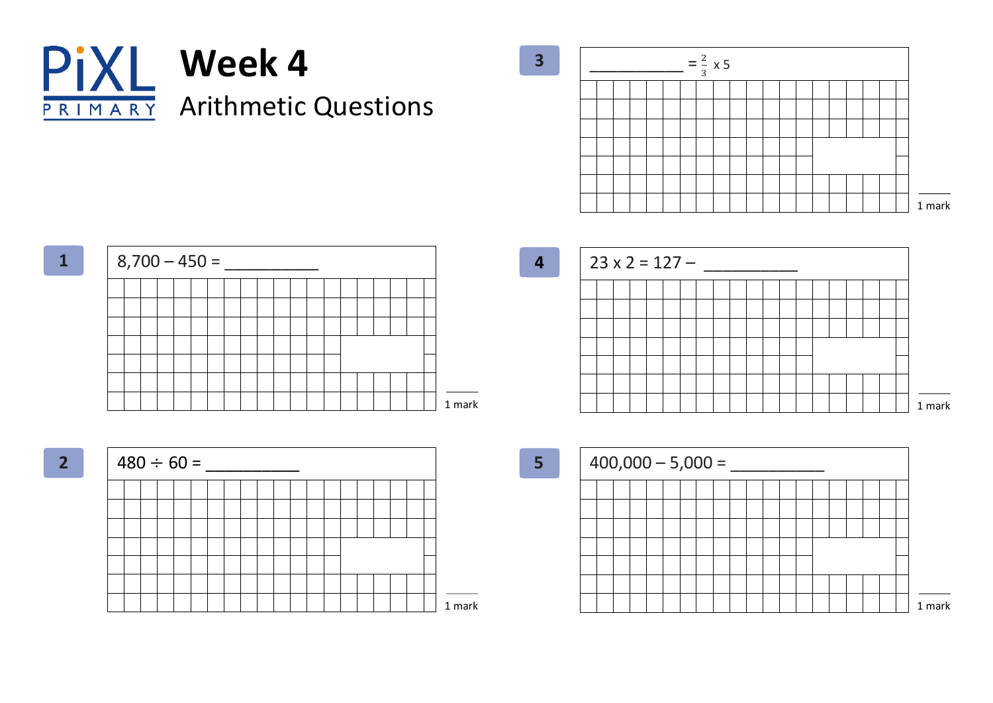









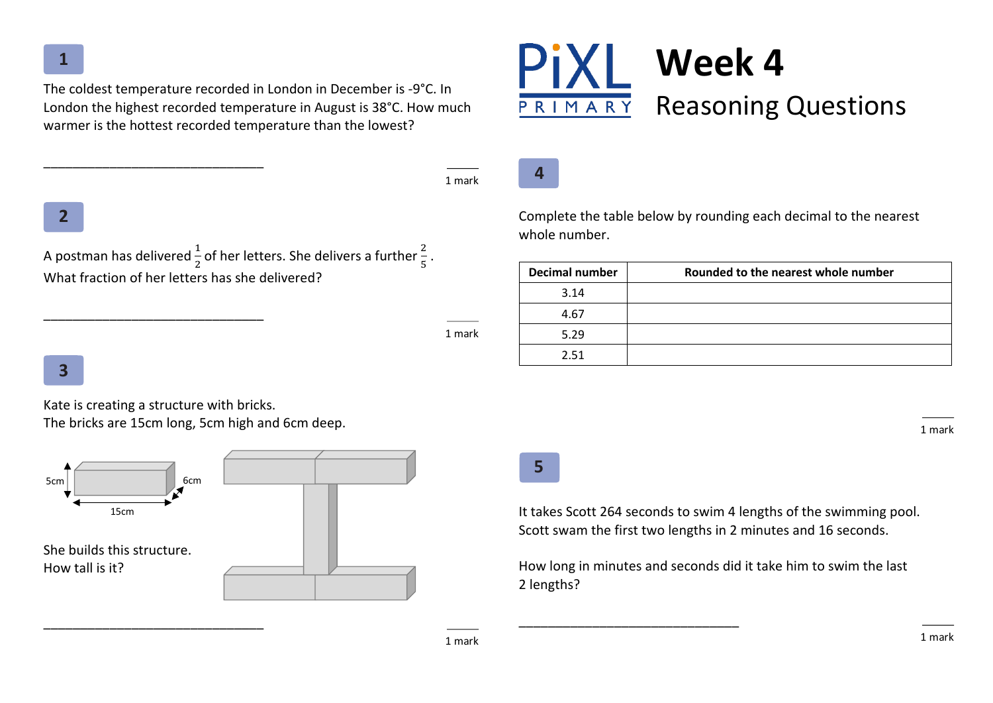The coldest temperature recorded in London in December is -9°C. In London the highest recorded temperature in August is 38°C. How much warmer is the hottest recorded temperature than the lowest?

1 mark

# **2**

A postman has delivered  $\frac{1}{2}$  of her letters. She delivers a further  $\frac{2}{5}$  . What fraction of her letters has she delivered?

1 mark

## **3**

Kate is creating a structure with bricks. The bricks are 15cm long, 5cm high and 6cm deep.

\_\_\_\_\_\_\_\_\_\_\_\_\_\_\_\_\_\_\_\_\_\_\_\_\_\_\_\_\_\_

\_\_\_\_\_\_\_\_\_\_\_\_\_\_\_\_\_\_\_\_\_\_\_\_\_\_\_\_\_\_







Complete the table below by rounding each decimal to the nearest whole number.

| <b>Decimal number</b> | Rounded to the nearest whole number |
|-----------------------|-------------------------------------|
| 3.14                  |                                     |
| 4.67                  |                                     |
| 5.29                  |                                     |
| 2.51                  |                                     |

**5**

It takes Scott 264 seconds to swim 4 lengths of the swimming pool. Scott swam the first two lengths in 2 minutes and 16 seconds.

How long in minutes and seconds did it take him to swim the last 2 lengths?

\_\_\_\_\_\_\_\_\_\_\_\_\_\_\_\_\_\_\_\_\_\_\_\_\_\_\_\_\_\_

1 mark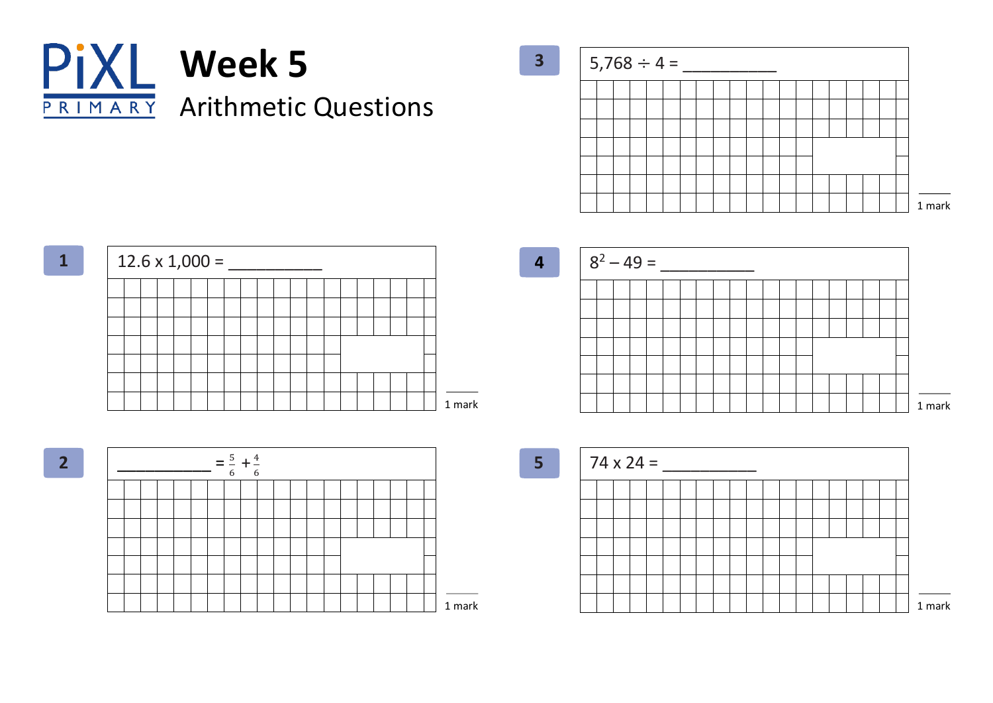

 $5,768 \div 4 =$ 











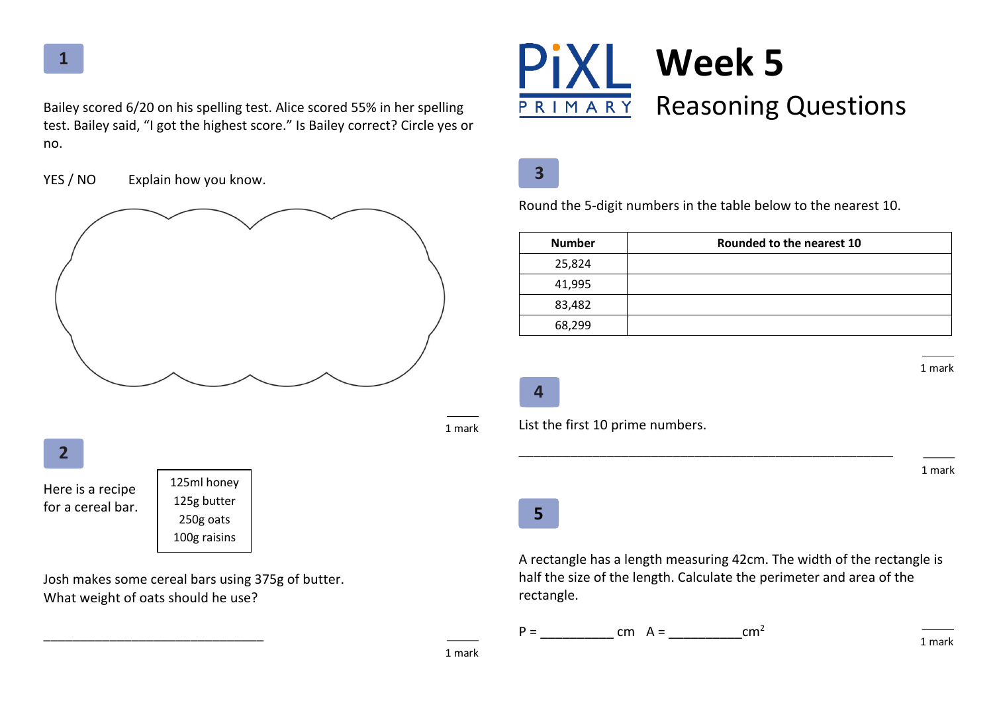Bailey scored 6/20 on his spelling test. Alice scored 55% in her spelling test. Bailey said, "I got the highest score." Is Bailey correct? Circle yes or no.

YES / NO Explain how you know.



Josh makes some cereal bars using 375g of butter. What weight of oats should he use?

\_\_\_\_\_\_\_\_\_\_\_\_\_\_\_\_\_\_\_\_\_\_\_\_\_\_\_\_\_\_



**3**

Round the 5-digit numbers in the table below to the nearest 10.

| <b>Number</b> | Rounded to the nearest 10 |  |
|---------------|---------------------------|--|
| 25,824        |                           |  |
| 41,995        |                           |  |
| 83,482        |                           |  |
| 68,299        |                           |  |

**4**

List the first 10 prime numbers.

1 mark

1 mark

## **5**

A rectangle has a length measuring 42cm. The width of the rectangle is half the size of the length. Calculate the perimeter and area of the rectangle.

\_\_\_\_\_\_\_\_\_\_\_\_\_\_\_\_\_\_\_\_\_\_\_\_\_\_\_\_\_\_\_\_\_\_\_\_\_\_\_\_\_\_\_\_\_\_\_\_\_\_\_

 $P =$  cm  $A =$  cm<sup>2</sup>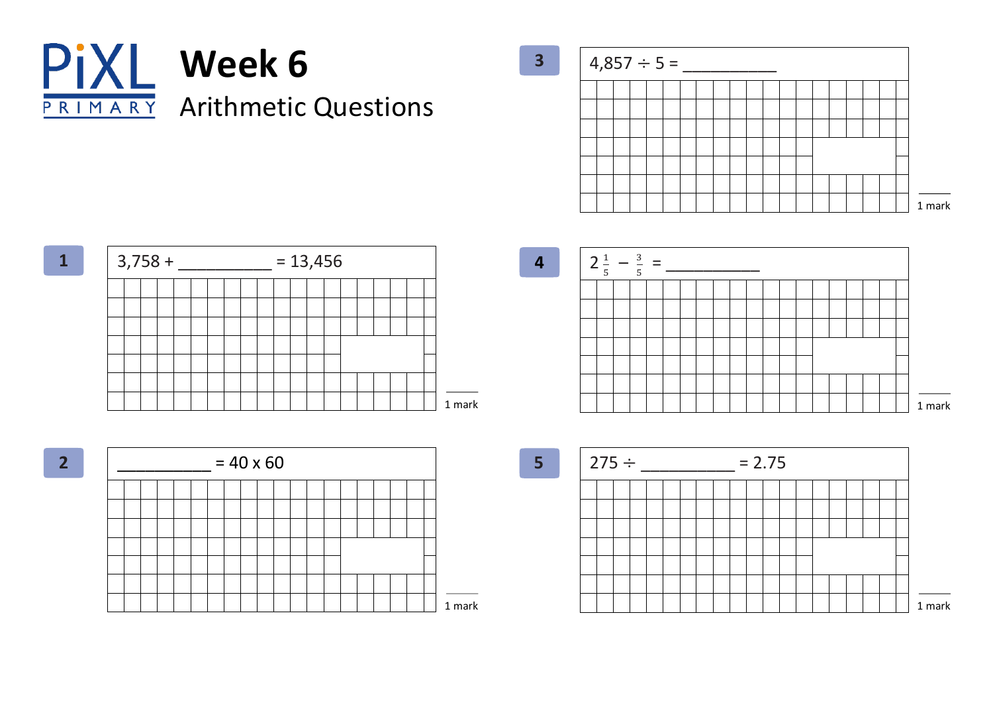

 $4,857 \div 5 =$ 



 $3,758 +$  \_\_\_\_\_\_\_\_\_\_ = 13,456 **1** 1 mark

 $= 40 \times 60$ **2** 1 mark